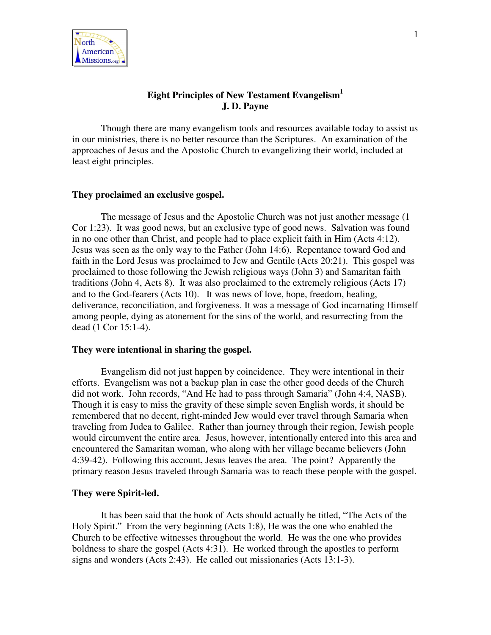

# **Eight Principles of New Testament Evangelism 1 J. D. Payne**

Though there are many evangelism tools and resources available today to assist us in our ministries, there is no better resource than the Scriptures. An examination of the approaches of Jesus and the Apostolic Church to evangelizing their world, included at least eight principles.

#### **They proclaimed an exclusive gospel.**

The message of Jesus and the Apostolic Church was not just another message (1 Cor 1:23). It was good news, but an exclusive type of good news. Salvation was found in no one other than Christ, and people had to place explicit faith in Him (Acts 4:12). Jesus was seen as the only way to the Father (John 14:6). Repentance toward God and faith in the Lord Jesus was proclaimed to Jew and Gentile (Acts 20:21). This gospel was proclaimed to those following the Jewish religious ways (John 3) and Samaritan faith traditions (John 4, Acts 8). It was also proclaimed to the extremely religious (Acts 17) and to the God-fearers (Acts 10). It was news of love, hope, freedom, healing, deliverance, reconciliation, and forgiveness. It was a message of God incarnating Himself among people, dying as atonement for the sins of the world, and resurrecting from the dead (1 Cor 15:1-4).

### **They were intentional in sharing the gospel.**

Evangelism did not just happen by coincidence. They were intentional in their efforts. Evangelism was not a backup plan in case the other good deeds of the Church did not work. John records, "And He had to pass through Samaria" (John 4:4, NASB). Though it is easy to miss the gravity of these simple seven English words, it should be remembered that no decent, right-minded Jew would ever travel through Samaria when traveling from Judea to Galilee. Rather than journey through their region, Jewish people would circumvent the entire area. Jesus, however, intentionally entered into this area and encountered the Samaritan woman, who along with her village became believers (John 4:39-42). Following this account, Jesus leaves the area. The point? Apparently the primary reason Jesus traveled through Samaria was to reach these people with the gospel.

#### **They were Spirit-led.**

It has been said that the book of Acts should actually be titled, "The Acts of the Holy Spirit." From the very beginning (Acts 1:8), He was the one who enabled the Church to be effective witnesses throughout the world. He was the one who provides boldness to share the gospel (Acts 4:31). He worked through the apostles to perform signs and wonders (Acts 2:43). He called out missionaries (Acts 13:1-3).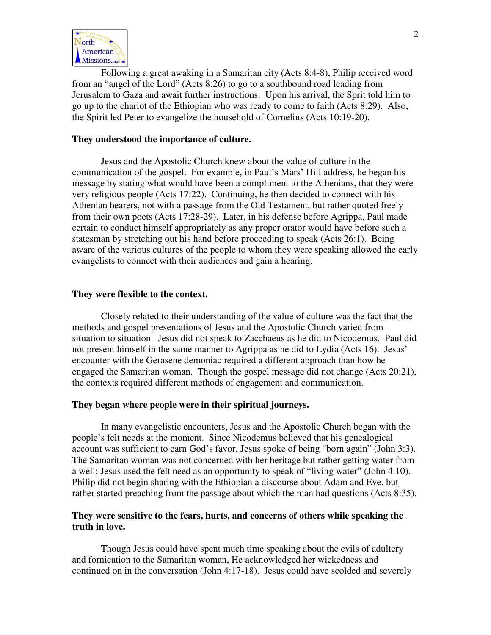

Following a great awaking in a Samaritan city (Acts 8:4-8), Philip received word from an "angel of the Lord" (Acts 8:26) to go to a southbound road leading from Jerusalem to Gaza and await further instructions. Upon his arrival, the Sprit told him to go up to the chariot of the Ethiopian who was ready to come to faith (Acts 8:29). Also, the Spirit led Peter to evangelize the household of Cornelius (Acts 10:19-20).

### **They understood the importance of culture.**

Jesus and the Apostolic Church knew about the value of culture in the communication of the gospel. For example, in Paul's Mars' Hill address, he began his message by stating what would have been a compliment to the Athenians, that they were very religious people (Acts 17:22). Continuing, he then decided to connect with his Athenian hearers, not with a passage from the Old Testament, but rather quoted freely from their own poets (Acts 17:28-29). Later, in his defense before Agrippa, Paul made certain to conduct himself appropriately as any proper orator would have before such a statesman by stretching out his hand before proceeding to speak (Acts 26:1). Being aware of the various cultures of the people to whom they were speaking allowed the early evangelists to connect with their audiences and gain a hearing.

#### **They were flexible to the context.**

Closely related to their understanding of the value of culture was the fact that the methods and gospel presentations of Jesus and the Apostolic Church varied from situation to situation. Jesus did not speak to Zacchaeus as he did to Nicodemus. Paul did not present himself in the same manner to Agrippa as he did to Lydia (Acts 16). Jesus' encounter with the Gerasene demoniac required a different approach than how he engaged the Samaritan woman. Though the gospel message did not change (Acts 20:21), the contexts required different methods of engagement and communication.

#### **They began where people were in their spiritual journeys.**

In many evangelistic encounters, Jesus and the Apostolic Church began with the people's felt needs at the moment. Since Nicodemus believed that his genealogical account was sufficient to earn God's favor, Jesus spoke of being "born again" (John 3:3). The Samaritan woman was not concerned with her heritage but rather getting water from a well; Jesus used the felt need as an opportunity to speak of "living water" (John 4:10). Philip did not begin sharing with the Ethiopian a discourse about Adam and Eve, but rather started preaching from the passage about which the man had questions (Acts 8:35).

## **They were sensitive to the fears, hurts, and concerns of others while speaking the truth in love.**

Though Jesus could have spent much time speaking about the evils of adultery and fornication to the Samaritan woman, He acknowledged her wickedness and continued on in the conversation (John 4:17-18). Jesus could have scolded and severely